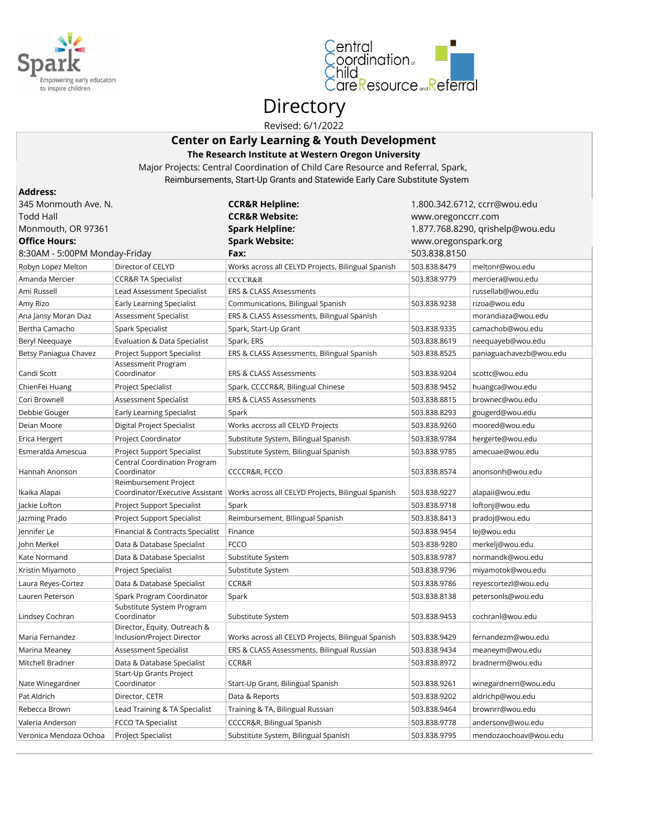



# Directory

Revised: 6/1/2022

### **Center on Early Learning & Youth Development The Research Institute at Western Oregon University**

Major Projects: Central Coordination of Child Care Resource and Referral, Spark, Reimbursements, Start-Up Grants and Statewide Early Care Substitute System

| <b>Address:</b>               |                                                            |                                                                                      |                     |                                  |
|-------------------------------|------------------------------------------------------------|--------------------------------------------------------------------------------------|---------------------|----------------------------------|
| 345 Monmouth Ave. N.          |                                                            | <b>CCR&amp;R Helpline:</b>                                                           |                     | 1.800.342.6712, ccrr@wou.edu     |
| <b>Todd Hall</b>              |                                                            | <b>CCR&amp;R Website:</b>                                                            | www.oregonccrr.com  |                                  |
| Monmouth, OR 97361            |                                                            | <b>Spark Helpline:</b>                                                               |                     | 1.877.768.8290, qrishelp@wou.edu |
| <b>Office Hours:</b>          |                                                            | <b>Spark Website:</b>                                                                | www.oregonspark.org |                                  |
| 8:30AM - 5:00PM Monday-Friday |                                                            | Fax:                                                                                 | 503.838.8150        |                                  |
| Robyn Lopez Melton            | Director of CELYD                                          | Works across all CELYD Projects, Bilingual Spanish                                   | 503.838.8479        | meltonr@wou.edu                  |
| Amanda Mercier                | <b>CCR&amp;R TA Specialist</b>                             | <b>CCCCR&amp;R</b>                                                                   | 503.838.9779        | merciera@wou.edu                 |
| Ami Russell                   | Lead Assessment Specialist                                 | <b>ERS &amp; CLASS Assessments</b>                                                   |                     | russellab@wou.edu                |
| Amy Rizo                      | Early Learning Specialist                                  | Communications, Bilingual Spanish                                                    | 503.838.9238        | rizoa@wou.edu                    |
| Ana Jansy Moran Diaz          | Assessment Specialist                                      | ERS & CLASS Assessments, Bilingual Spanish                                           |                     | morandiaza@wou.edu               |
| Bertha Camacho                | Spark Specialist                                           | Spark, Start-Up Grant                                                                | 503.838.9335        | camachob@wou.edu                 |
| Beryl Neequaye                | Evaluation & Data Specialist                               | Spark, ERS                                                                           | 503.838.8619        | neequayeb@wou.edu                |
| Betsy Paniagua Chavez         | Project Support Specialist                                 | ERS & CLASS Assessments, Bilingual Spanish                                           | 503.838.8525        | paniaguachavezb@wou.edu          |
| Candi Scott                   | Assessment Program<br>Coordinator                          | <b>ERS &amp; CLASS Assessments</b>                                                   | 503.838.9204        | scottc@wou.edu                   |
| ChienFei Huang                | Project Specialist                                         | Spark, CCCCR&R, Bilingual Chinese                                                    | 503.838.9452        | huangca@wou.edu                  |
| Cori Brownell                 | Assessment Specialist                                      | <b>ERS &amp; CLASS Assessments</b>                                                   | 503.838.8815        | brownec@wou.edu                  |
| Debbie Gouger                 | Early Learning Specialist                                  | Spark                                                                                | 503.838.8293        | gougerd@wou.edu                  |
| Deian Moore                   | Digital Project Specialist                                 | Works accross all CELYD Projects                                                     | 503.838.9260        | moored@wou.edu                   |
| Erica Hergert                 | Project Coordinator                                        | Substitute System, Bilingual Spanish                                                 | 503.838.9784        | hergerte@wou.edu                 |
| Esmeralda Amescua             | Project Support Specialist                                 | Substitute System, Bilingual Spanish                                                 | 503.838.9785        | amecuae@wou.edu                  |
|                               | Central Coordination Program                               |                                                                                      |                     |                                  |
| Hannah Anonson                | Coordinator                                                | CCCCR&R, FCCO                                                                        | 503.838.8574        | anonsonh@wou.edu                 |
| Ikaika Alapai                 | Reimbursement Project                                      | Coordinator/Executive Assistant   Works across all CELYD Projects, Bilingual Spanish | 503.838.9227        | alapaii@wou.edu                  |
| Jackie Lofton                 | Project Support Specialist                                 | Spark                                                                                | 503.838.9718        | loftonj@wou.edu                  |
| Jazming Prado                 | Project Support Specialist                                 | Reimbursement, Bllingual Spanish                                                     | 503.838.8413        | pradoj@wou.edu                   |
| Jennifer Le                   | Financial & Contracts Specialist                           | Finance                                                                              | 503.838.9454        | lej@wou.edu                      |
| John Merkel                   | Data & Database Specialist                                 | <b>FCCO</b>                                                                          | 503-838-9280        | merkelj@wou.edu                  |
| Kate Normand                  | Data & Database Specialist                                 | Substitute System                                                                    | 503.838.9787        | normandk@wou.edu                 |
| Kristin Miyamoto              | <b>Project Specialist</b>                                  | Substitute System                                                                    | 503.838.9796        | miyamotok@wou.edu                |
| Laura Reyes-Cortez            | Data & Database Specialist                                 | CCR&R                                                                                | 503.838.9786        | reyescortezl@wou.edu             |
| Lauren Peterson               | Spark Program Coordinator                                  | Spark                                                                                | 503.838.8138        | petersonls@wou.edu               |
| Lindsey Cochran               | Substitute System Program<br>Coordinator                   | Substitute System                                                                    | 503.838.9453        | cochranl@wou.edu                 |
| Maria Fernandez               | Director, Equity, Outreach &<br>Inclusion/Project Director | Works across all CELYD Projects, Bilingual Spanish                                   | 503.838.9429        | fernandezm@wou.edu               |
| Marina Meaney                 | Assessment Specialist                                      | ERS & CLASS Assessments, Bilingual Russian                                           | 503.838.9434        | meaneym@wou.edu                  |
| Mitchell Bradner              | Data & Database Specialist                                 | CCR&R                                                                                | 503.838.8972        | bradnerm@wou.edu                 |
| Nate Winegardner              | Start-Up Grants Project<br>Coordinator                     | Start-Up Grant, Bilingual Spanish                                                    | 503.838.9261        | winegardnern@wou.edu             |
| Pat Aldrich                   | Director, CETR                                             | Data & Reports                                                                       | 503.838.9202        | aldrichp@wou.edu                 |
| Rebecca Brown                 | Lead Training & TA Specialist                              | Training & TA, Bilingual Russian                                                     | 503.838.9464        | brownrr@wou.edu                  |
| Valeria Anderson              | FCCO TA Specialist                                         | CCCCR&R, Bilingual Spanish                                                           | 503.838.9778        | andersonv@wou.edu                |
| Veronica Mendoza Ochoa        | Project Specialist                                         | Substitute System, Bilingual Spanish                                                 | 503.838.9795        | mendozaochoav@wou.edu            |
|                               |                                                            |                                                                                      |                     |                                  |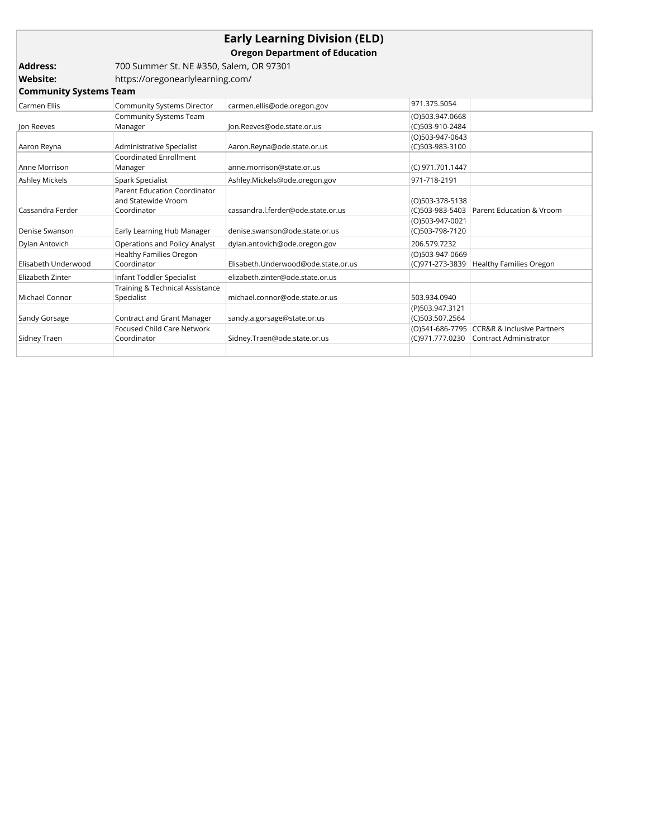## **Early Learning Division (ELD)**

**Oregon Department of Education**

| Address: | 700 Summer St. NE #350, Salem, OR 97301 |
|----------|-----------------------------------------|
| Website: | https://oregonearlylearning.com/        |

| <b>Community Systems Team</b> |                                     |                                     |                  |                                            |
|-------------------------------|-------------------------------------|-------------------------------------|------------------|--------------------------------------------|
| Carmen Ellis                  | <b>Community Systems Director</b>   | carmen.ellis@ode.oregon.gov         | 971.375.5054     |                                            |
|                               | Community Systems Team              |                                     | (O)503.947.0668  |                                            |
| Jon Reeves                    | Manager                             | Jon.Reeves@ode.state.or.us          | (C)503-910-2484  |                                            |
|                               |                                     |                                     | (O)503-947-0643  |                                            |
| Aaron Reyna                   | Administrative Specialist           | Aaron.Reyna@ode.state.or.us         | (C)503-983-3100  |                                            |
|                               | Coordinated Enrollment              |                                     |                  |                                            |
| Anne Morrison                 | Manager                             | anne.morrison@state.or.us           | (C) 971.701.1447 |                                            |
| Ashley Mickels                | Spark Specialist                    | Ashley.Mickels@ode.oregon.gov       | 971-718-2191     |                                            |
|                               | <b>Parent Education Coordinator</b> |                                     |                  |                                            |
|                               | and Statewide Vroom                 |                                     | (O)503-378-5138  |                                            |
| Cassandra Ferder              | Coordinator                         | cassandra.l.ferder@ode.state.or.us  |                  | (C)503-983-5403   Parent Education & Vroom |
|                               |                                     |                                     | (O)503-947-0021  |                                            |
| Denise Swanson                | Early Learning Hub Manager          | denise.swanson@ode.state.or.us      | (C)503-798-7120  |                                            |
| Dylan Antovich                | Operations and Policy Analyst       | dylan.antovich@ode.oregon.gov       | 206.579.7232     |                                            |
|                               | <b>Healthy Families Oregon</b>      |                                     | (O)503-947-0669  |                                            |
| Elisabeth Underwood           | Coordinator                         | Elisabeth.Underwood@ode.state.or.us | (C)971-273-3839  | <b>Healthy Families Oregon</b>             |
| Elizabeth Zinter              | Infant Toddler Specialist           | elizabeth.zinter@ode.state.or.us    |                  |                                            |
|                               | Training & Technical Assistance     |                                     |                  |                                            |
| Michael Connor                | Specialist                          | michael.connor@ode.state.or.us      | 503.934.0940     |                                            |
|                               |                                     |                                     | (P)503.947.3121  |                                            |
| Sandy Gorsage                 | Contract and Grant Manager          | sandy.a.gorsage@state.or.us         | (C)503.507.2564  |                                            |
|                               | <b>Focused Child Care Network</b>   |                                     | (O)541-686-7795  | <b>CCR&amp;R &amp; Inclusive Partners</b>  |
| Sidney Traen                  | Coordinator                         | Sidney.Traen@ode.state.or.us        | (C)971.777.0230  | <b>Contract Administrator</b>              |
|                               |                                     |                                     |                  |                                            |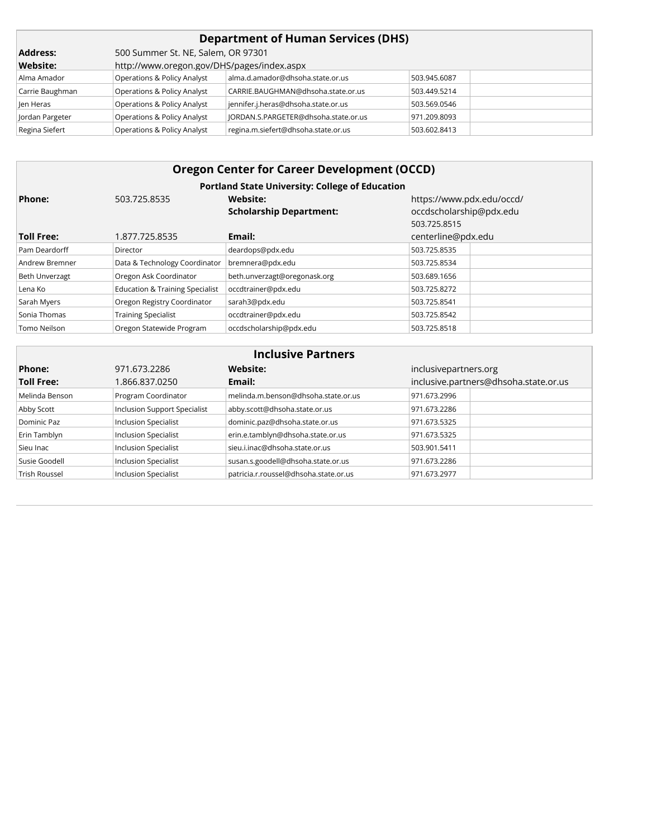| <b>Department of Human Services (DHS)</b> |                                            |                                      |              |  |  |
|-------------------------------------------|--------------------------------------------|--------------------------------------|--------------|--|--|
| <b>Address:</b>                           | 500 Summer St. NE, Salem, OR 97301         |                                      |              |  |  |
| <b>Website:</b>                           | http://www.oregon.gov/DHS/pages/index.aspx |                                      |              |  |  |
| Alma Amador                               | Operations & Policy Analyst                | alma.d.amador@dhsoha.state.or.us     | 503.945.6087 |  |  |
| Carrie Baughman                           | <b>Operations &amp; Policy Analyst</b>     | CARRIE.BAUGHMAN@dhsoha.state.or.us   | 503.449.5214 |  |  |
| len Heras                                 | <b>Operations &amp; Policy Analyst</b>     | jennifer.j.heras@dhsoha.state.or.us  | 503.569.0546 |  |  |
| Jordan Pargeter                           | <b>Operations &amp; Policy Analyst</b>     | JORDAN.S.PARGETER@dhsoha.state.or.us | 971.209.8093 |  |  |
| Regina Siefert                            | Operations & Policy Analyst                | regina.m.siefert@dhsoha.state.or.us  | 503.602.8413 |  |  |

| <b>Oregon Center for Career Development (OCCD)</b> |                                            |                                                        |                           |  |  |
|----------------------------------------------------|--------------------------------------------|--------------------------------------------------------|---------------------------|--|--|
|                                                    |                                            | <b>Portland State University: College of Education</b> |                           |  |  |
| Phone:                                             | 503.725.8535                               | Website:                                               | https://www.pdx.edu/occd/ |  |  |
|                                                    |                                            | <b>Scholarship Department:</b>                         | occdscholarship@pdx.edu   |  |  |
|                                                    |                                            |                                                        | 503.725.8515              |  |  |
| <b>Toll Free:</b>                                  | 1.877.725.8535                             | Email:                                                 | centerline@pdx.edu        |  |  |
| Pam Deardorff                                      | Director                                   | deardops@pdx.edu                                       | 503.725.8535              |  |  |
| Andrew Bremner                                     | Data & Technology Coordinator              | bremnera@pdx.edu                                       | 503.725.8534              |  |  |
| Beth Unverzagt                                     | Oregon Ask Coordinator                     | beth.unverzagt@oregonask.org                           | 503.689.1656              |  |  |
| Lena Ko                                            | <b>Education &amp; Training Specialist</b> | occdtrainer@pdx.edu                                    | 503.725.8272              |  |  |
| Sarah Myers                                        | Oregon Registry Coordinator                | sarah3@pdx.edu                                         | 503.725.8541              |  |  |
| Sonia Thomas                                       | <b>Training Specialist</b>                 | occdtrainer@pdx.edu                                    | 503.725.8542              |  |  |
| Tomo Neilson                                       | Oregon Statewide Program                   | occdscholarship@pdx.edu                                | 503.725.8518              |  |  |

| <b>Inclusive Partners</b> |                                     |                                       |                                       |  |  |
|---------------------------|-------------------------------------|---------------------------------------|---------------------------------------|--|--|
| Phone:                    | 971.673.2286                        | Website:                              | inclusivepartners.org                 |  |  |
| <b>Toll Free:</b>         | 1.866.837.0250                      | Email:                                | inclusive.partners@dhsoha.state.or.us |  |  |
| Melinda Benson            | Program Coordinator                 | melinda.m.benson@dhsoha.state.or.us   | 971.673.2996                          |  |  |
| Abby Scott                | <b>Inclusion Support Specialist</b> | abby.scott@dhsoha.state.or.us         | 971.673.2286                          |  |  |
| Dominic Paz               | <b>Inclusion Specialist</b>         | dominic.paz@dhsoha.state.or.us        | 971.673.5325                          |  |  |
| Erin Tamblyn              | <b>Inclusion Specialist</b>         | erin.e.tamblyn@dhsoha.state.or.us     | 971.673.5325                          |  |  |
| Sieu Inac                 | <b>Inclusion Specialist</b>         | sieu.i.inac@dhsoha.state.or.us        | 503.901.5411                          |  |  |
| Susie Goodell             | <b>Inclusion Specialist</b>         | susan.s.goodell@dhsoha.state.or.us    | 971.673.2286                          |  |  |
| Trish Roussel             | <b>Inclusion Specialist</b>         | patricia.r.roussel@dhsoha.state.or.us | 971.673.2977                          |  |  |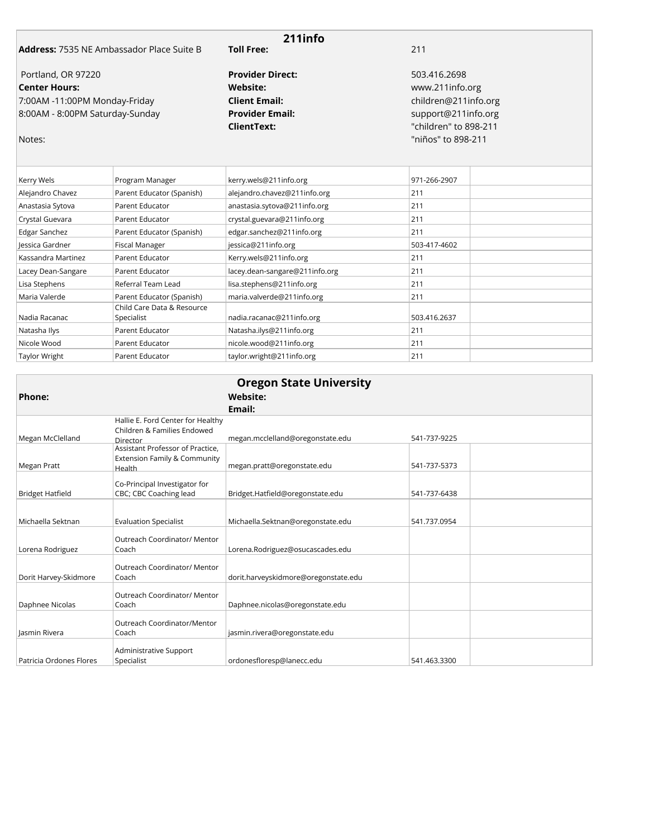|                                                  |                        | 211info                 |                       |                      |  |
|--------------------------------------------------|------------------------|-------------------------|-----------------------|----------------------|--|
| <b>Address:</b> 7535 NE Ambassador Place Suite B |                        | <b>Toll Free:</b>       | 211                   |                      |  |
| Portland, OR 97220                               |                        | <b>Provider Direct:</b> | 503.416.2698          |                      |  |
| <b>Center Hours:</b>                             |                        | Website:                | www.211info.org       |                      |  |
| 7:00AM -11:00PM Monday-Friday                    |                        | <b>Client Email:</b>    |                       | children@211info.org |  |
| 8:00AM - 8:00PM Saturday-Sunday                  |                        | <b>Provider Email:</b>  | support@211info.org   |                      |  |
|                                                  |                        | ClientText:             | "children" to 898-211 |                      |  |
| Notes:                                           |                        |                         | "niños" to 898-211    |                      |  |
|                                                  |                        |                         |                       |                      |  |
| Karnı Walc                                       | <b>Program Manager</b> | karnuwalc@211info.org   | 971-266-2907          |                      |  |

| Kerry Wels           | Program Manager                          | kerry.wels@211info.org         | 971-266-2907 |  |
|----------------------|------------------------------------------|--------------------------------|--------------|--|
| Alejandro Chavez     | Parent Educator (Spanish)                | alejandro.chavez@211info.org   | 211          |  |
| Anastasia Sytova     | Parent Educator                          | anastasia.sytova@211info.org   | 211          |  |
| Crystal Guevara      | Parent Educator                          | crystal.guevara@211info.org    | 211          |  |
| Edgar Sanchez        | Parent Educator (Spanish)                | edgar.sanchez@211info.org      | 211          |  |
| Jessica Gardner      | Fiscal Manager                           | jessica@211info.org            | 503-417-4602 |  |
| Kassandra Martinez   | Parent Educator                          | Kerry.wels@211info.org         | 211          |  |
| Lacey Dean-Sangare   | Parent Educator                          | lacey.dean-sangare@211info.org | 211          |  |
| Lisa Stephens        | Referral Team Lead                       | lisa.stephens@211info.org      | 211          |  |
| Maria Valerde        | Parent Educator (Spanish)                | maria.valverde@211info.org     | 211          |  |
| Nadia Racanac        | Child Care Data & Resource<br>Specialist | nadia.racanac@211info.org      | 503.416.2637 |  |
| Natasha Ilys         | Parent Educator                          | Natasha.ilys@211info.org       | 211          |  |
| Nicole Wood          | Parent Educator                          | nicole.wood@211info.org        | 211          |  |
| <b>Taylor Wright</b> | Parent Educator                          | taylor.wright@211info.org      | 211          |  |

|                         |                                                                                   | <b>Oregon State University</b>       |              |
|-------------------------|-----------------------------------------------------------------------------------|--------------------------------------|--------------|
| Phone:                  |                                                                                   | <b>Website:</b>                      |              |
|                         |                                                                                   | Email:                               |              |
| Megan McClelland        | Hallie E. Ford Center for Healthy<br>Children & Families Endowed<br>Director      | megan.mcclelland@oregonstate.edu     | 541-737-9225 |
| Megan Pratt             | Assistant Professor of Practice.<br>Extension Family & Community<br><b>Health</b> | megan.pratt@oregonstate.edu          | 541-737-5373 |
| <b>Bridget Hatfield</b> | Co-Principal Investigator for<br>CBC; CBC Coaching lead                           | Bridget.Hatfield@oregonstate.edu     | 541-737-6438 |
| Michaella Sektnan       | <b>Evaluation Specialist</b>                                                      | Michaella.Sektnan@oregonstate.edu    | 541.737.0954 |
| Lorena Rodriguez        | Outreach Coordinator/ Mentor<br>Coach                                             | Lorena.Rodriguez@osucascades.edu     |              |
| Dorit Harvey-Skidmore   | Outreach Coordinator/ Mentor<br>Coach                                             | dorit.harveyskidmore@oregonstate.edu |              |
| Daphnee Nicolas         | Outreach Coordinator/ Mentor<br>Coach                                             | Daphnee.nicolas@oregonstate.edu      |              |
| Jasmin Rivera           | Outreach Coordinator/Mentor<br>Coach                                              | jasmin.rivera@oregonstate.edu        |              |
| Patricia Ordones Flores | Administrative Support<br>Specialist                                              | ordonesfloresp@lanecc.edu            | 541.463.3300 |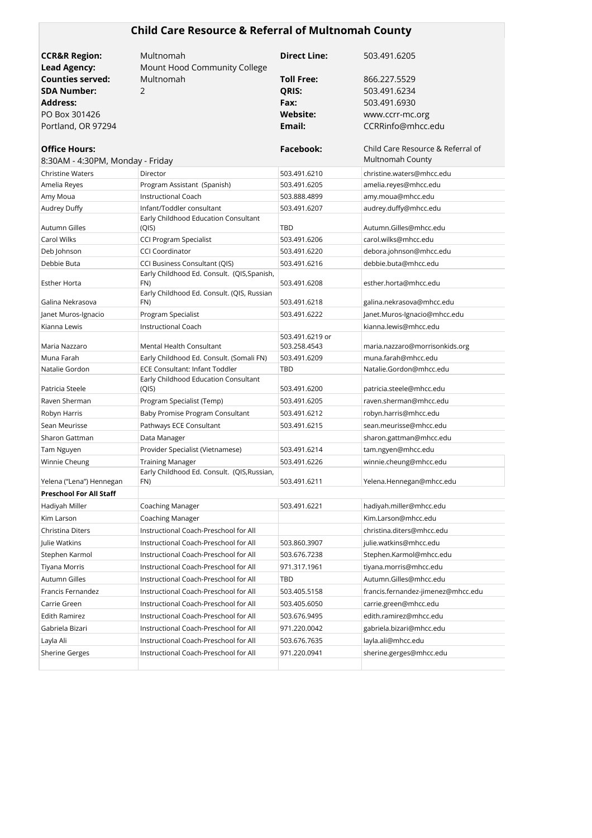# **Child Care Resource & Referral of Multnomah County**

| <b>CCR&amp;R Region:</b>                                 | Multnomah                                                                                        | <b>Direct Line:</b>             | 503.491.6205                                          |
|----------------------------------------------------------|--------------------------------------------------------------------------------------------------|---------------------------------|-------------------------------------------------------|
| <b>Lead Agency:</b>                                      | Mount Hood Community College                                                                     |                                 |                                                       |
| <b>Counties served:</b><br><b>SDA Number:</b>            | Multnomah<br>2                                                                                   | <b>Toll Free:</b><br>QRIS:      | 866.227.5529<br>503.491.6234                          |
| Address:                                                 |                                                                                                  | Fax:                            | 503.491.6930                                          |
| PO Box 301426                                            |                                                                                                  | Website:                        |                                                       |
| Portland, OR 97294                                       |                                                                                                  | Email:                          | www.ccrr-mc.org<br>CCRRinfo@mhcc.edu                  |
|                                                          |                                                                                                  |                                 |                                                       |
| <b>Office Hours:</b><br>8:30AM - 4:30PM, Monday - Friday |                                                                                                  | Facebook:                       | Child Care Resource & Referral of<br>Multnomah County |
| <b>Christine Waters</b>                                  | Director                                                                                         | 503.491.6210                    | christine.waters@mhcc.edu                             |
| Amelia Reyes                                             | Program Assistant (Spanish)                                                                      | 503.491.6205                    | amelia.reyes@mhcc.edu                                 |
| Amy Moua                                                 | <b>Instructional Coach</b>                                                                       | 503.888.4899                    | amy.moua@mhcc.edu                                     |
| Audrey Duffy                                             | Infant/Toddler consultant                                                                        | 503.491.6207                    | audrey.duffy@mhcc.edu                                 |
|                                                          | Early Childhood Education Consultant                                                             |                                 |                                                       |
| Autumn Gilles                                            | (QIS)                                                                                            | TBD                             | Autumn.Gilles@mhcc.edu                                |
| Carol Wilks                                              | <b>CCI Program Specialist</b>                                                                    | 503.491.6206                    | carol.wilks@mhcc.edu                                  |
| Deb Johnson                                              | <b>CCI Coordinator</b>                                                                           | 503.491.6220                    | debora.johnson@mhcc.edu                               |
| Debbie Buta                                              | CCI Business Consultant (QIS)                                                                    | 503.491.6216                    | debbie.buta@mhcc.edu                                  |
| Esther Horta                                             | Early Childhood Ed. Consult. (QIS, Spanish,<br>FN)<br>Early Childhood Ed. Consult. (QIS, Russian | 503.491.6208                    | esther.horta@mhcc.edu                                 |
| Galina Nekrasova                                         | FN)                                                                                              | 503.491.6218                    | galina.nekrasova@mhcc.edu                             |
| Janet Muros-Ignacio                                      | Program Specialist                                                                               | 503.491.6222                    | Janet.Muros-Ignacio@mhcc.edu                          |
| Kianna Lewis                                             | <b>Instructional Coach</b>                                                                       |                                 | kianna.lewis@mhcc.edu                                 |
| Maria Nazzaro                                            | Mental Health Consultant                                                                         | 503.491.6219 or<br>503.258.4543 | maria.nazzaro@morrisonkids.org                        |
| Muna Farah                                               | Early Childhood Ed. Consult. (Somali FN)                                                         | 503.491.6209                    | muna.farah@mhcc.edu                                   |
| Natalie Gordon                                           | <b>ECE Consultant: Infant Toddler</b>                                                            | TBD                             | Natalie.Gordon@mhcc.edu                               |
| Patricia Steele                                          | Early Childhood Education Consultant<br>(QIS)                                                    | 503.491.6200                    | patricia.steele@mhcc.edu                              |
| Raven Sherman                                            | Program Specialist (Temp)                                                                        | 503.491.6205                    | raven.sherman@mhcc.edu                                |
| Robyn Harris                                             | Baby Promise Program Consultant                                                                  | 503.491.6212                    | robyn.harris@mhcc.edu                                 |
| Sean Meurisse                                            | Pathways ECE Consultant                                                                          | 503.491.6215                    | sean.meurisse@mhcc.edu                                |
| Sharon Gattman                                           | Data Manager                                                                                     |                                 | sharon.gattman@mhcc.edu                               |
| Tam Nguyen                                               | Provider Specialist (Vietnamese)                                                                 | 503.491.6214                    | tam.ngyen@mhcc.edu                                    |
| Winnie Cheung                                            | <b>Training Manager</b>                                                                          | 503.491.6226                    | winnie.cheung@mhcc.edu                                |
| Yelena ("Lena") Hennegan                                 | Early Childhood Ed. Consult. (QIS, Russian,<br>FN)                                               | 503.491.6211                    | Yelena.Hennegan@mhcc.edu                              |
| Preschool For All Staff                                  |                                                                                                  |                                 |                                                       |
| Hadiyah Miller                                           | Coaching Manager                                                                                 | 503.491.6221                    | hadiyah.miller@mhcc.edu                               |
| Kim Larson                                               | Coaching Manager                                                                                 |                                 | Kim.Larson@mhcc.edu                                   |
| Christina Diters                                         | Instructional Coach-Preschool for All                                                            |                                 | christina.diters@mhcc.edu                             |
| Julie Watkins                                            | Instructional Coach-Preschool for All                                                            | 503.860.3907                    | julie.watkins@mhcc.edu                                |
| Stephen Karmol                                           | Instructional Coach-Preschool for All                                                            | 503.676.7238                    | Stephen.Karmol@mhcc.edu                               |
| Tiyana Morris                                            | Instructional Coach-Preschool for All                                                            | 971.317.1961                    | tiyana.morris@mhcc.edu                                |
| Autumn Gilles                                            | Instructional Coach-Preschool for All                                                            | TBD                             | Autumn.Gilles@mhcc.edu                                |
| Francis Fernandez                                        | Instructional Coach-Preschool for All                                                            | 503.405.5158                    | francis.fernandez-jimenez@mhcc.edu                    |
| Carrie Green                                             | Instructional Coach-Preschool for All                                                            | 503.405.6050                    | carrie.green@mhcc.edu                                 |
| Edith Ramirez                                            | Instructional Coach-Preschool for All                                                            | 503.676.9495                    | edith.ramirez@mhcc.edu                                |
| Gabriela Bizari                                          | Instructional Coach-Preschool for All                                                            | 971.220.0042                    | gabriela.bizari@mhcc.edu                              |
| Layla Ali                                                | Instructional Coach-Preschool for All                                                            | 503.676.7635                    | layla.ali@mhcc.edu                                    |
| <b>Sherine Gerges</b>                                    | Instructional Coach-Preschool for All                                                            | 971.220.0941                    | sherine.gerges@mhcc.edu                               |
|                                                          |                                                                                                  |                                 |                                                       |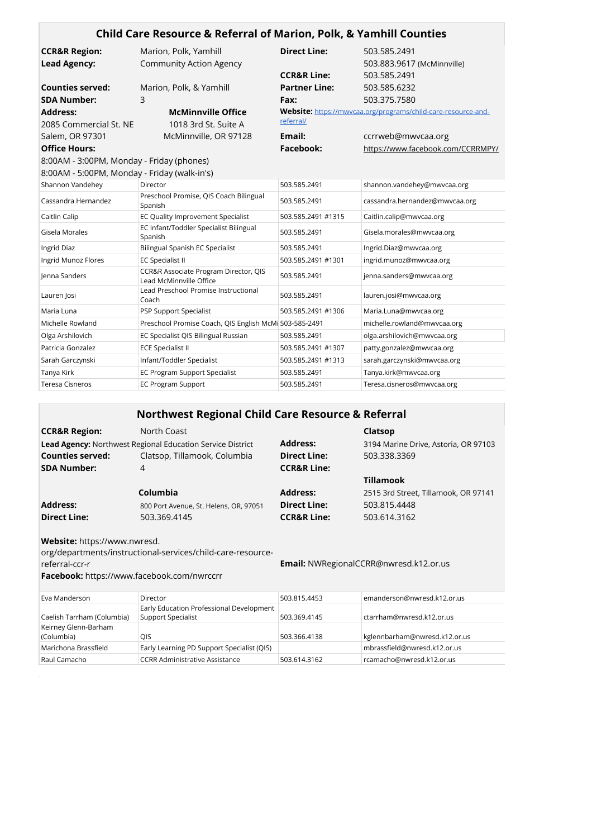|                                              | Child Care Resource & Referral of Marion, Polk, & Yamhill Counties |                        |                                                               |
|----------------------------------------------|--------------------------------------------------------------------|------------------------|---------------------------------------------------------------|
| <b>CCR&amp;R Region:</b>                     | Marion, Polk, Yamhill                                              | <b>Direct Line:</b>    | 503.585.2491                                                  |
| <b>Lead Agency:</b>                          | <b>Community Action Agency</b>                                     |                        | 503.883.9617 (McMinnville)                                    |
|                                              |                                                                    | <b>CCR&amp;R Line:</b> | 503.585.2491                                                  |
| <b>Counties served:</b>                      | Marion, Polk, & Yamhill                                            | <b>Partner Line:</b>   | 503.585.6232                                                  |
| <b>SDA Number:</b>                           | 3                                                                  | Fax:                   | 503.375.7580                                                  |
| <b>Address:</b>                              | <b>McMinnville Office</b>                                          |                        | Website: https://mwycaa.org/programs/child-care-resource-and- |
| 2085 Commercial St. NE                       | 1018 3rd St. Suite A                                               | referral/              |                                                               |
| Salem, OR 97301                              | McMinnville, OR 97128                                              | Email:                 | ccrrweb@mwvcaa.org                                            |
| <b>Office Hours:</b>                         |                                                                    | Facebook:              | https://www.facebook.com/CCRRMPY/                             |
| 8:00AM - 3:00PM, Monday - Friday (phones)    |                                                                    |                        |                                                               |
| 8:00AM - 5:00PM, Monday - Friday (walk-in's) |                                                                    |                        |                                                               |
| Shannon Vandehey                             | Director                                                           | 503.585.2491           | shannon.vandehey@mwvcaa.org                                   |
| Cassandra Hernandez                          | Preschool Promise, QIS Coach Bilingual<br>Spanish                  | 503.585.2491           | cassandra.hernandez@mwvcaa.org                                |
| Caitlin Calip                                | EC Quality Improvement Specialist                                  | 503.585.2491 #1315     | Caitlin.calip@mwvcaa.org                                      |
| Gisela Morales                               | EC Infant/Toddler Specialist Bilingual<br>Spanish                  | 503.585.2491           | Gisela.morales@mwvcaa.org                                     |
| Ingrid Diaz                                  | Bilingual Spanish EC Specialist                                    | 503.585.2491           | Ingrid.Diaz@mwvcaa.org                                        |
| Ingrid Munoz Flores                          | <b>EC Specialist II</b>                                            | 503.585.2491 #1301     | ingrid.munoz@mwvcaa.org                                       |
| Jenna Sanders                                | CCR&R Associate Program Director, QIS<br>Lead McMinnville Office   | 503.585.2491           | jenna.sanders@mwvcaa.org                                      |
| Lauren Josi                                  | Lead Preschool Promise Instructional<br>Coach                      | 503.585.2491           | lauren.josi@mwvcaa.org                                        |
| Maria Luna                                   | <b>PSP Support Specialist</b>                                      | 503.585.2491 #1306     | Maria.Luna@mwvcaa.org                                         |
| Michelle Rowland                             | Preschool Promise Coach, QIS English McMi 503-585-2491             |                        | michelle.rowland@mwvcaa.org                                   |
| Olga Arshilovich                             | EC Specialist QIS Bilingual Russian                                | 503.585.2491           | olga.arshilovich@mwvcaa.org                                   |
| Patricia Gonzalez                            | <b>ECE Specialist II</b>                                           | 503.585.2491 #1307     | patty.gonzalez@mwvcaa.org                                     |
| Sarah Garczynski                             | Infant/Toddler Specialist                                          | 503.585.2491 #1313     | sarah.garczynski@mwvcaa.org                                   |
| Tanya Kirk                                   | <b>EC Program Support Specialist</b>                               | 503.585.2491           | Tanya.kirk@mwvcaa.org                                         |
| <b>Teresa Cisneros</b>                       | <b>EC Program Support</b>                                          | 503.585.2491           | Teresa.cisneros@mwvcaa.org                                    |

|                                                                                                     | <b>Northwest Regional Child Care Resource &amp; Referral</b>      |                        |                                               |
|-----------------------------------------------------------------------------------------------------|-------------------------------------------------------------------|------------------------|-----------------------------------------------|
| <b>CCR&amp;R Region:</b>                                                                            | North Coast                                                       |                        | Clatsop                                       |
|                                                                                                     | <b>Lead Agency:</b> Northwest Regional Education Service District | <b>Address:</b>        | 3194 Marine Drive, Astoria, OR 97103          |
| <b>Counties served:</b>                                                                             | Clatsop, Tillamook, Columbia                                      | <b>Direct Line:</b>    | 503.338.3369                                  |
| <b>SDA Number:</b>                                                                                  | 4                                                                 | <b>CCR&amp;R Line:</b> |                                               |
|                                                                                                     |                                                                   |                        | <b>Tillamook</b>                              |
|                                                                                                     | Columbia                                                          | <b>Address:</b>        | 2515 3rd Street, Tillamook, OR 97141          |
| <b>Address:</b>                                                                                     | 800 Port Avenue, St. Helens, OR, 97051                            | <b>Direct Line:</b>    | 503.815.4448                                  |
| <b>Direct Line:</b>                                                                                 | 503.369.4145                                                      | <b>CCR&amp;R Line:</b> | 503.614.3162                                  |
| Website: https://www.nwresd.<br>referral-ccr-r<br><b>Facebook:</b> https://www.facebook.com/nwrccrr | org/departments/instructional-services/child-care-resource-       |                        | <b>Email:</b> NWRegionalCCRR@nwresd.k12.or.us |

| Eva Manderson              | Director                                   | 503.815.4453 | emanderson@nwresd.k12.or.us   |
|----------------------------|--------------------------------------------|--------------|-------------------------------|
|                            | Early Education Professional Development   |              |                               |
| Caelish Tarrham (Columbia) | <b>Support Specialist</b>                  | 503.369.4145 | ctarrham@nwresd.k12.or.us     |
| Keirney Glenn-Barham       |                                            |              |                               |
| (Columbia)                 | OIS                                        | 503.366.4138 | kglennbarham@nwresd.k12.or.us |
| Marichona Brassfield       | Early Learning PD Support Specialist (QIS) |              | mbrassfield@nwresd.k12.or.us  |
| Raul Camacho               | <b>CCRR Administrative Assistance</b>      | 503.614.3162 | rcamacho@nwresd.k12.or.us     |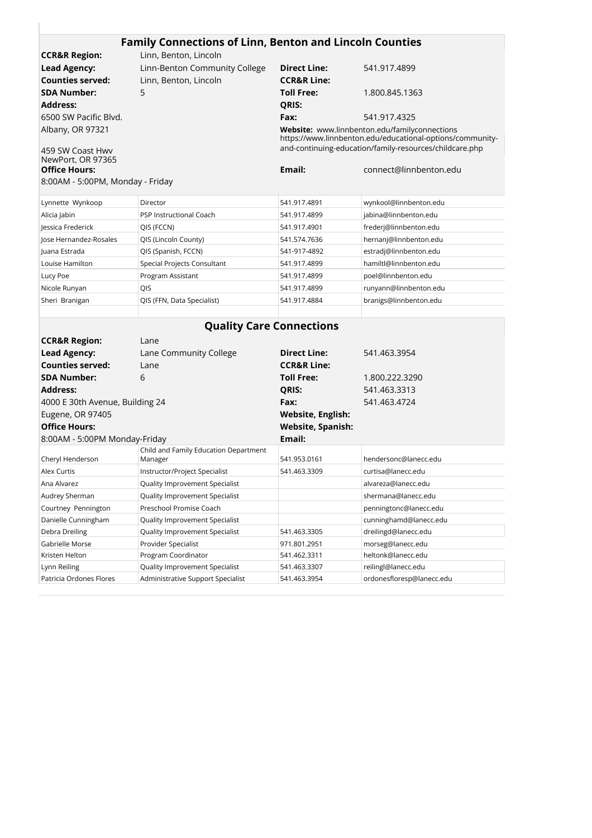| <b>CCR&amp;R Region:</b>                  | Linn, Benton, Lincoln         |                        |                                                                                                            |
|-------------------------------------------|-------------------------------|------------------------|------------------------------------------------------------------------------------------------------------|
| <b>Lead Agency:</b>                       | Linn-Benton Community College | <b>Direct Line:</b>    | 541.917.4899                                                                                               |
| <b>Counties served:</b>                   | Linn, Benton, Lincoln         | <b>CCR&amp;R Line:</b> |                                                                                                            |
| SDA Number:                               | 5.                            | <b>Toll Free:</b>      | 1.800.845.1363                                                                                             |
| Address:                                  |                               | QRIS:                  |                                                                                                            |
| 6500 SW Pacific Blvd.                     |                               | Fax:                   | 541.917.4325                                                                                               |
| Albany, OR 97321                          |                               |                        | Website: www.linnbenton.edu/familyconnections<br>https://www.linnbenton.edu/educational-options/community- |
| 459 SW Coast Hwy                          |                               |                        | and-continuing-education/family-resources/childcare.php                                                    |
| NewPort, OR 97365<br><b>Office Hours:</b> |                               | Email:                 | connect@linnbenton.edu                                                                                     |
|                                           |                               |                        |                                                                                                            |

| Lynnette Wynkoop       | Director                    | 541.917.4891 | wynkool@linnbenton.edu |
|------------------------|-----------------------------|--------------|------------------------|
| Alicia Jabin           | PSP Instructional Coach     | 541.917.4899 | jabina@linnbenton.edu  |
| Jessica Frederick      | QIS (FCCN)                  | 541.917.4901 | frederj@linnbenton.edu |
| Jose Hernandez-Rosales | QIS (Lincoln County)        | 541.574.7636 | hernanj@linnbenton.edu |
| Juana Estrada          | QIS (Spanish, FCCN)         | 541-917-4892 | estradj@linnbenton.edu |
| Louise Hamilton        | Special Projects Consultant | 541.917.4899 | hamiltl@linnbenton.edu |
| Lucy Poe               | Program Assistant           | 541.917.4899 | poel@linnbenton.edu    |
| Nicole Runyan          | <b>QIS</b>                  | 541.917.4899 | runyann@linnbenton.edu |
| Sheri Branigan         | QIS (FFN, Data Specialist)  | 541.917.4884 | branigs@linnbenton.edu |
|                        |                             |              |                        |

۰

| <b>Quality Care Connections</b> |                                       |                          |                           |  |
|---------------------------------|---------------------------------------|--------------------------|---------------------------|--|
| <b>CCR&amp;R Region:</b>        | Lane                                  |                          |                           |  |
| <b>Lead Agency:</b>             | Lane Community College                | <b>Direct Line:</b>      | 541.463.3954              |  |
| Counties served:                | Lane                                  | <b>CCR&amp;R Line:</b>   |                           |  |
| <b>SDA Number:</b>              | 6                                     | <b>Toll Free:</b>        | 1.800.222.3290            |  |
| <b>Address:</b>                 |                                       | <b>QRIS:</b>             | 541.463.3313              |  |
| 4000 E 30th Avenue, Building 24 |                                       | Fax:                     | 541.463.4724              |  |
| Eugene, OR 97405                |                                       | Website, English:        |                           |  |
| <b>Office Hours:</b>            |                                       | <b>Website, Spanish:</b> |                           |  |
| 8:00AM - 5:00PM Monday-Friday   |                                       | Email:                   |                           |  |
|                                 | Child and Family Education Department |                          |                           |  |
| Cheryl Henderson                | Manager                               | 541.953.0161             | hendersonc@lanecc.edu     |  |
| Alex Curtis                     | Instructor/Project Specialist         | 541.463.3309             | curtisa@lanecc.edu        |  |
| Ana Alvarez                     | Quality Improvement Specialist        |                          | alvareza@lanecc.edu       |  |
| Audrey Sherman                  | Quality Improvement Specialist        |                          | shermana@lanecc.edu       |  |
| Courtney Pennington             | Preschool Promise Coach               |                          | penningtonc@lanecc.edu    |  |
| Danielle Cunningham             | Quality Improvement Specialist        |                          | cunninghamd@lanecc.edu    |  |
| Debra Dreiling                  | Quality Improvement Specialist        | 541.463.3305             | dreilingd@lanecc.edu      |  |
| Gabrielle Morse                 | Provider Specialist                   | 971.801.2951             | morseg@lanecc.edu         |  |
| Kristen Helton                  | Program Coordinator                   | 541.462.3311             | heltonk@lanecc.edu        |  |
| Lynn Reiling                    | Quality Improvement Specialist        | 541.463.3307             | reilingl@lanecc.edu       |  |
| Patricia Ordones Flores         | Administrative Support Specialist     | 541.463.3954             | ordonesfloresp@lanecc.edu |  |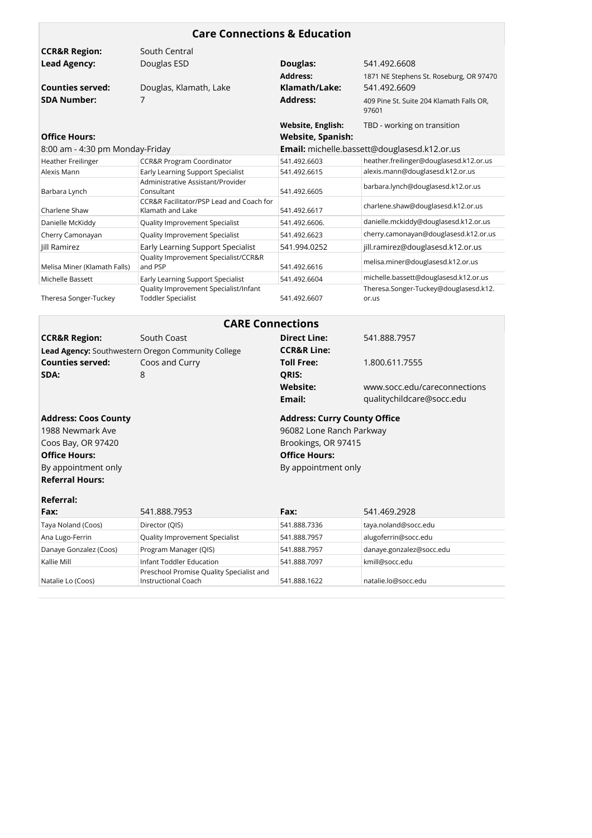| <b>Care Connections &amp; Education</b>                                                                                                        |                                                                    |                                                                                                                                       |                                                   |  |
|------------------------------------------------------------------------------------------------------------------------------------------------|--------------------------------------------------------------------|---------------------------------------------------------------------------------------------------------------------------------------|---------------------------------------------------|--|
| <b>CCR&amp;R Region:</b>                                                                                                                       | South Central                                                      |                                                                                                                                       |                                                   |  |
| <b>Lead Agency:</b>                                                                                                                            | Douglas ESD                                                        | Douglas:                                                                                                                              | 541.492.6608                                      |  |
|                                                                                                                                                |                                                                    | <b>Address:</b>                                                                                                                       | 1871 NE Stephens St. Roseburg, OR 97470           |  |
| <b>Counties served:</b>                                                                                                                        | Douglas, Klamath, Lake                                             | Klamath/Lake:                                                                                                                         | 541.492.6609                                      |  |
| <b>SDA Number:</b>                                                                                                                             | 7                                                                  | <b>Address:</b>                                                                                                                       | 409 Pine St. Suite 204 Klamath Falls OR,<br>97601 |  |
| <b>Office Hours:</b>                                                                                                                           |                                                                    | <b>Website, English:</b><br><b>Website, Spanish:</b>                                                                                  | TBD - working on transition                       |  |
| 8:00 am - 4:30 pm Monday-Friday                                                                                                                |                                                                    | Email: michelle.bassett@douglasesd.k12.or.us                                                                                          |                                                   |  |
| <b>Heather Freilinger</b>                                                                                                                      | <b>CCR&amp;R Program Coordinator</b>                               | 541.492.6603                                                                                                                          | heather.freilinger@douglasesd.k12.or.us           |  |
| Alexis Mann                                                                                                                                    | Early Learning Support Specialist                                  | 541.492.6615                                                                                                                          | alexis.mann@douglasesd.k12.or.us                  |  |
| Barbara Lynch                                                                                                                                  | Administrative Assistant/Provider<br>Consultant                    | 541.492.6605                                                                                                                          | barbara.lynch@douglasesd.k12.or.us                |  |
| Charlene Shaw                                                                                                                                  | CCR&R Facilitator/PSP Lead and Coach for<br>Klamath and Lake       | 541.492.6617                                                                                                                          | charlene.shaw@douglasesd.k12.or.us                |  |
| Danielle McKiddy                                                                                                                               | Quality Improvement Specialist                                     | 541.492.6606.                                                                                                                         | danielle.mckiddy@douglasesd.k12.or.us             |  |
| Cherry Camonayan                                                                                                                               | Quality Improvement Specialist                                     | 541.492.6623                                                                                                                          | cherry.camonayan@douglasesd.k12.or.us             |  |
| Jill Ramirez                                                                                                                                   | <b>Early Learning Support Specialist</b>                           | 541.994.0252                                                                                                                          | jill.ramirez@douglasesd.k12.or.us                 |  |
| Melisa Miner (Klamath Falls)                                                                                                                   | Quality Improvement Specialist/CCR&R<br>and PSP                    | 541.492.6616                                                                                                                          | melisa.miner@douglasesd.k12.or.us                 |  |
| Michelle Bassett                                                                                                                               | Early Learning Support Specialist                                  | 541.492.6604                                                                                                                          | michelle.bassett@douglasesd.k12.or.us             |  |
| Theresa Songer-Tuckey                                                                                                                          | Quality Improvement Specialist/Infant<br><b>Toddler Specialist</b> | 541.492.6607                                                                                                                          | Theresa.Songer-Tuckey@douglasesd.k12.<br>or.us    |  |
|                                                                                                                                                | <b>CARE Connections</b>                                            |                                                                                                                                       |                                                   |  |
| <b>CCR&amp;R Region:</b>                                                                                                                       | South Coast                                                        | <b>Direct Line:</b>                                                                                                                   | 541.888.7957                                      |  |
|                                                                                                                                                | Lead Agency: Southwestern Oregon Community College                 | <b>CCR&amp;R Line:</b>                                                                                                                |                                                   |  |
| <b>Counties served:</b>                                                                                                                        | Coos and Curry                                                     | <b>Toll Free:</b>                                                                                                                     | 1.800.611.7555                                    |  |
| SDA:                                                                                                                                           | 8                                                                  | QRIS:                                                                                                                                 |                                                   |  |
|                                                                                                                                                |                                                                    | <b>Website:</b>                                                                                                                       | www.socc.edu/careconnections                      |  |
|                                                                                                                                                |                                                                    | Email:                                                                                                                                | qualitychildcare@socc.edu                         |  |
| <b>Address: Coos County</b><br>1988 Newmark Ave<br>Coos Bay, OR 97420<br><b>Office Hours:</b><br>By appointment only<br><b>Referral Hours:</b> |                                                                    | <b>Address: Curry County Office</b><br>96082 Lone Ranch Parkway<br>Brookings, OR 97415<br><b>Office Hours:</b><br>By appointment only |                                                   |  |
| <b>Referral:</b>                                                                                                                               |                                                                    |                                                                                                                                       | 541.469.2928                                      |  |
| Fax:                                                                                                                                           | 541.888.7953                                                       | Fax:                                                                                                                                  |                                                   |  |
| Taya Noland (Coos)                                                                                                                             | Director (QIS)                                                     | 541.888.7336                                                                                                                          | taya.noland@socc.edu                              |  |
| Ana Lugo-Ferrin                                                                                                                                | Quality Improvement Specialist                                     | 541.888.7957                                                                                                                          | alugoferrin@socc.edu                              |  |
| Danaye Gonzalez (Coos)                                                                                                                         | Program Manager (QIS)                                              | 541.888.7957                                                                                                                          | danaye.gonzalez@socc.edu                          |  |
| Kallie Mill                                                                                                                                    | Infant Toddler Education                                           | 541.888.7097                                                                                                                          | kmill@socc.edu                                    |  |
| Natalie Lo (Coos)                                                                                                                              | Preschool Promise Quality Specialist and<br>Instructional Coach    | 541.888.1622                                                                                                                          | natalie.lo@socc.edu                               |  |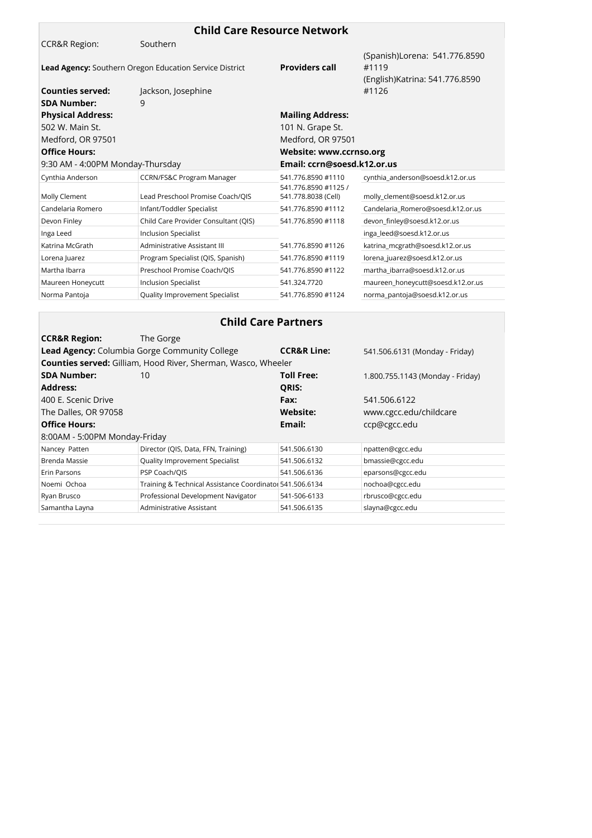| <b>Child Care Resource Network</b> |                                                                      |                                             |                                        |  |
|------------------------------------|----------------------------------------------------------------------|---------------------------------------------|----------------------------------------|--|
| <b>CCR&amp;R Region:</b>           | Southern                                                             |                                             |                                        |  |
|                                    | Lead Agency: Southern Oregon Education Service District              | <b>Providers call</b>                       | (Spanish)Lorena: 541.776.8590<br>#1119 |  |
|                                    |                                                                      |                                             | (English) Katrina: 541.776.8590        |  |
| <b>Counties served:</b>            | Jackson, Josephine                                                   |                                             | #1126                                  |  |
| <b>SDA Number:</b>                 | 9                                                                    |                                             |                                        |  |
| <b>Physical Address:</b>           |                                                                      | <b>Mailing Address:</b>                     |                                        |  |
| 502 W. Main St.                    |                                                                      | 101 N. Grape St.                            |                                        |  |
| Medford, OR 97501                  |                                                                      | Medford, OR 97501                           |                                        |  |
| <b>Office Hours:</b>               |                                                                      | Website: www.ccrnso.org                     |                                        |  |
| 9:30 AM - 4:00PM Monday-Thursday   |                                                                      | Email: ccrn@soesd.k12.or.us                 |                                        |  |
| Cynthia Anderson                   | <b>CCRN/FS&amp;C Program Manager</b>                                 | 541.776.8590 #1110                          | cynthia_anderson@soesd.k12.or.us       |  |
| Molly Clement                      | Lead Preschool Promise Coach/QIS                                     | 541.776.8590 #1125 /<br>541.778.8038 (Cell) | molly_clement@soesd.k12.or.us          |  |
| Candelaria Romero                  | Infant/Toddler Specialist                                            | 541.776.8590 #1112                          | Candelaria_Romero@soesd.k12.or.us      |  |
| Devon Finley                       | Child Care Provider Consultant (QIS)                                 | 541.776.8590 #1118                          | devon_finley@soesd.k12.or.us           |  |
| Inga Leed                          | <b>Inclusion Specialist</b>                                          |                                             | inga_leed@soesd.k12.or.us              |  |
| Katrina McGrath                    | Administrative Assistant III                                         | 541.776.8590 #1126                          | katrina_mcgrath@soesd.k12.or.us        |  |
| Lorena Juarez                      | Program Specialist (QIS, Spanish)                                    | 541.776.8590 #1119                          | lorena_juarez@soesd.k12.or.us          |  |
| Martha Ibarra                      | Preschool Promise Coach/QIS                                          | 541.776.8590 #1122                          | martha_ibarra@soesd.k12.or.us          |  |
| Maureen Honeycutt                  | <b>Inclusion Specialist</b>                                          | 541.324.7720                                | maureen_honeycutt@soesd.k12.or.us      |  |
| Norma Pantoja                      | Quality Improvement Specialist                                       | 541.776.8590 #1124                          | norma_pantoja@soesd.k12.or.us          |  |
|                                    |                                                                      |                                             |                                        |  |
|                                    | <b>Child Care Partners</b>                                           |                                             |                                        |  |
| <b>CCR&amp;R Region:</b>           | The Gorge                                                            |                                             |                                        |  |
|                                    | Lead Agency: Columbia Gorge Community College                        | <b>CCR&amp;R Line:</b>                      | 541.506.6131 (Monday - Friday)         |  |
|                                    | <b>Counties served:</b> Gilliam, Hood River, Sherman, Wasco, Wheeler |                                             |                                        |  |
| <b>SDA Number:</b>                 | 10                                                                   | <b>Toll Free:</b>                           | 1.800.755.1143 (Monday - Friday)       |  |
| <b>Address:</b>                    |                                                                      | <b>QRIS:</b>                                |                                        |  |
| 400 E. Scenic Drive                |                                                                      | Fax:                                        | 541.506.6122                           |  |
| The Dalles, OR 97058               |                                                                      | Website:                                    | www.cgcc.edu/childcare                 |  |
| <b>Office Hours:</b>               |                                                                      | Email:                                      | ccp@cgcc.edu                           |  |
| 8:00AM - 5:00PM Monday-Friday      |                                                                      |                                             |                                        |  |
| Nancey Patten                      | Director (QIS, Data, FFN, Training)                                  | 541.506.6130                                | npatten@cgcc.edu                       |  |
| Brenda Massie                      | Quality Improvement Specialist                                       | 541.506.6132                                | bmassie@cgcc.edu                       |  |

Erin Parsons **Example 20 PSP Coach/QIS Example 241.506.6136** eparsons@cgcc.edu Noemi Ochoa Training & Technical Assistance Coordinator541.506.6134 nochoa@cgcc.edu Ryan Brusco Professional Development Navigator 541-506-6133 rbrusco@cgcc.edu Samantha Layna **Administrative Assistant** 541.506.6135 slayna@cgcc.edu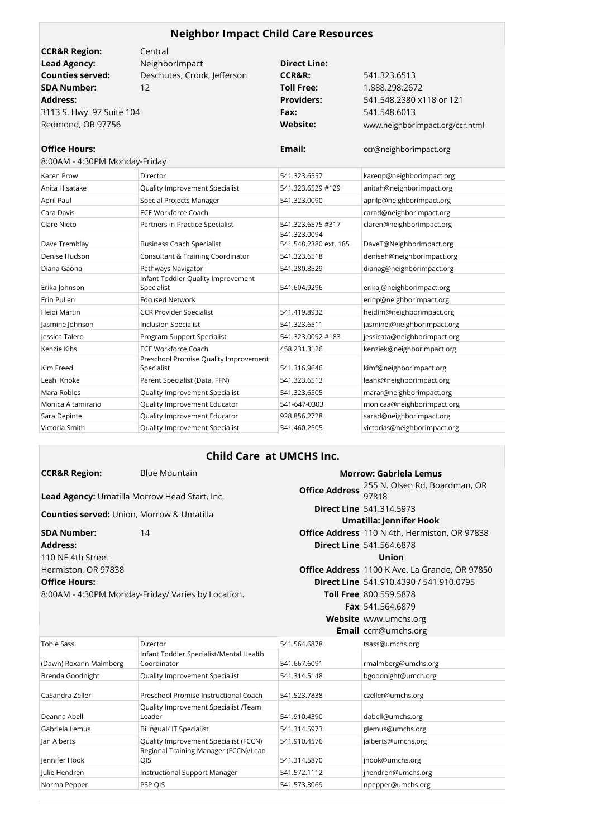| <b>Neighbor Impact Child Care Resources</b> |                                                     |                                       |                                 |  |
|---------------------------------------------|-----------------------------------------------------|---------------------------------------|---------------------------------|--|
| <b>CCR&amp;R Region:</b>                    | Central                                             |                                       |                                 |  |
| <b>Lead Agency:</b>                         | NeighborImpact                                      | <b>Direct Line:</b>                   |                                 |  |
| <b>Counties served:</b>                     | Deschutes, Crook, Jefferson                         | <b>CCR&amp;R:</b>                     | 541.323.6513                    |  |
| <b>SDA Number:</b>                          | 12                                                  | <b>Toll Free:</b>                     | 1.888.298.2672                  |  |
| <b>Address:</b>                             |                                                     | <b>Providers:</b>                     | 541.548.2380 x118 or 121        |  |
| 3113 S. Hwy. 97 Suite 104                   |                                                     | Fax:                                  | 541.548.6013                    |  |
| Redmond, OR 97756                           |                                                     | <b>Website:</b>                       | www.neighborimpact.org/ccr.html |  |
| <b>Office Hours:</b>                        |                                                     | Email:                                | ccr@neighborimpact.org          |  |
| 8:00AM - 4:30PM Monday-Friday               |                                                     |                                       |                                 |  |
| <b>Karen Prow</b>                           | Director                                            | 541.323.6557                          | karenp@neighborimpact.org       |  |
| Anita Hisatake                              | Quality Improvement Specialist                      | 541.323.6529 #129                     | anitah@neighborimpact.org       |  |
| April Paul                                  | Special Projects Manager                            | 541.323.0090                          | aprilp@neighborimpact.org       |  |
| Cara Davis                                  | <b>ECE Workforce Coach</b>                          |                                       | carad@neighborimpact.org        |  |
| Clare Nieto                                 | Partners in Practice Specialist                     | 541.323.6575 #317                     | claren@neighborimpact.org       |  |
| Dave Tremblay                               | <b>Business Coach Specialist</b>                    | 541.323.0094<br>541.548.2380 ext. 185 | DaveT@NeighborImpact.org        |  |
| Denise Hudson                               | <b>Consultant &amp; Training Coordinator</b>        | 541.323.6518                          | deniseh@neighborimpact.org      |  |
| Diana Gaona                                 | Pathways Navigator                                  | 541.280.8529                          | dianag@neighborimpact.org       |  |
| Erika Johnson                               | Infant Toddler Quality Improvement<br>Specialist    | 541.604.9296                          | erikaj@neighborimpact.org       |  |
| Erin Pullen                                 | <b>Focused Network</b>                              |                                       | erinp@neighborimpact.org        |  |
| Heidi Martin                                | <b>CCR Provider Specialist</b>                      | 541.419.8932                          | heidim@neighborimpact.org       |  |
| Jasmine Johnson                             | <b>Inclusion Specialist</b>                         | 541.323.6511                          | jasminej@neighborimpact.org     |  |
| Jessica Talero                              | <b>Program Support Specialist</b>                   | 541.323.0092 #183                     | jessicata@neighborimpact.org    |  |
| Kenzie Kihs                                 | <b>ECE Workforce Coach</b>                          | 458.231.3126                          | kenziek@neighborimpact.org      |  |
| Kim Freed                                   | Preschool Promise Quality Improvement<br>Specialist | 541.316.9646                          | kimf@neighborimpact.org         |  |
| Leah Knoke                                  | Parent Specialist (Data, FFN)                       | 541.323.6513                          | leahk@neighborimpact.org        |  |
| Mara Robles                                 | Quality Improvement Specialist                      | 541.323.6505                          | marar@neighborimpact.org        |  |
| Monica Altamirano                           | Quality Improvement Educator                        | 541-647-0303                          | monicaa@neighborimpact.org      |  |
| Sara Depinte                                | Quality Improvement Educator                        | 928.856.2728                          | sarad@neighborimpact.org        |  |
| Victoria Smith                              | <b>Quality Improvement Specialist</b>               | 541.460.2505                          | victorias@neighborimpact.org    |  |

### **Child Care at UMCHS Inc.**

| <b>CCR&amp;R Region:</b>                         | <b>Blue Mountain</b>                                 |                         | <b>Morrow: Gabriela Lemus</b>                        |
|--------------------------------------------------|------------------------------------------------------|-------------------------|------------------------------------------------------|
|                                                  | <b>Lead Agency:</b> Umatilla Morrow Head Start, Inc. | <b>Office Address</b>   | 255 N. Olsen Rd. Boardman, OR<br>97818               |
|                                                  |                                                      |                         | <b>Direct Line 541.314.5973</b>                      |
| <b>Counties served:</b> Union, Morrow & Umatilla |                                                      | Umatilla: Jennifer Hook |                                                      |
| <b>SDA Number:</b>                               | 14                                                   |                         | <b>Office Address</b> 110 N 4th, Hermiston, OR 97838 |
| <b>Address:</b>                                  |                                                      |                         | <b>Direct Line 541,564,6878</b>                      |
| 110 NF 4th Street                                |                                                      |                         | Union                                                |
| Hermiston, OR 97838                              |                                                      |                         | Office Address 1100 K Ave. La Grande, OR 97850       |
| <b>Office Hours:</b>                             |                                                      |                         | <b>Direct Line</b> 541.910.4390 / 541.910.0795       |
|                                                  | 8:00AM - 4:30PM Monday-Friday/ Varies by Location.   |                         | <b>Toll Free</b> 800.559.5878                        |
|                                                  |                                                      |                         | <b>Fax</b> 541.564.6879                              |
|                                                  |                                                      |                         | Website www.umchs.org                                |
|                                                  |                                                      |                         | Email ccrr@umchs.org                                 |
| <b>Tobie Sass</b>                                | Director                                             | 541.564.6878            | tsass@umchs.org                                      |
|                                                  | Infant Toddler Specialist/Mental Health              |                         |                                                      |
| (Dawn) Roxann Malmberg                           | Coordinator                                          | 541.667.6091            | rmalmberg@umchs.org                                  |
| Brenda Goodnight                                 | Quality Improvement Specialist                       | 541.314.5148            | bgoodnight@umch.org                                  |
| CaSandra Zeller                                  | Preschool Promise Instructional Coach                | 541.523.7838            | czeller@umchs.org                                    |
| Deanna Abell                                     | Quality Improvement Specialist /Team<br>Leader       | 541.910.4390            | dabell@umchs.org                                     |
| Gabriela Lemus                                   | <b>Bilingual/ IT Specialist</b>                      | 541.314.5973            | glemus@umchs.org                                     |
| Jan Alberts                                      | Quality Improvement Specialist (FCCN)                | 541.910.4576            | jalberts@umchs.org                                   |
| Jennifer Hook                                    | Regional Training Manager (FCCN)/Lead<br>QIS         | 541.314.5870            | jhook@umchs.org                                      |

Julie Hendren Instructional Support Manager 541.572.1112 jhendren@umchs.org Norma Pepper PSP QIS PSP QIS 2541.573.3069 npepper@umchs.org

541.314.5870 jhook@umchs.org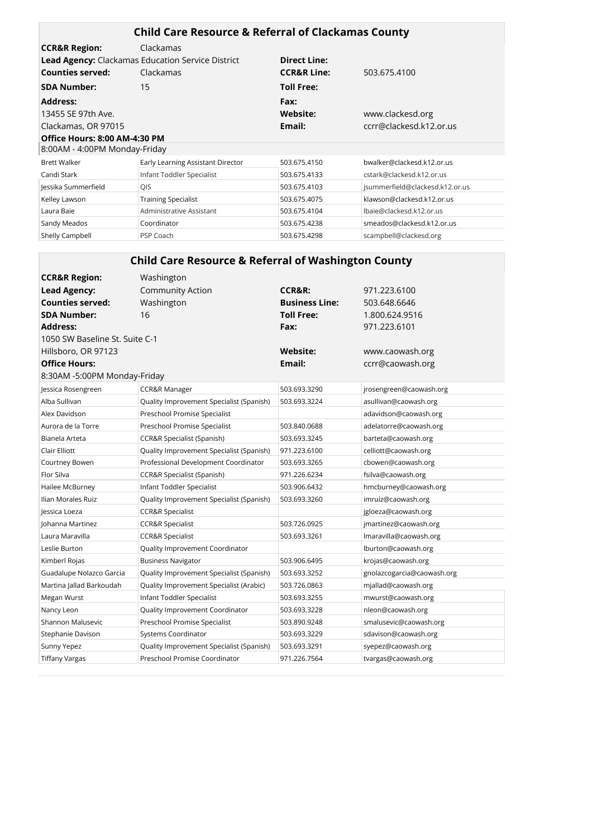| <b>Child Care Resource &amp; Referral of Clackamas County</b> |                                                          |                        |                                 |  |
|---------------------------------------------------------------|----------------------------------------------------------|------------------------|---------------------------------|--|
| <b>CCR&amp;R Region:</b>                                      | Clackamas                                                |                        |                                 |  |
|                                                               | <b>Lead Agency:</b> Clackamas Education Service District | <b>Direct Line:</b>    |                                 |  |
| Counties served:                                              | Clackamas                                                | <b>CCR&amp;R Line:</b> | 503.675.4100                    |  |
| <b>SDA Number:</b>                                            | 15                                                       | <b>Toll Free:</b>      |                                 |  |
| <b>Address:</b>                                               |                                                          | Fax:                   |                                 |  |
| 13455 SE 97th Ave.                                            |                                                          | Website:               | www.clackesd.org                |  |
| Clackamas, OR 97015                                           |                                                          | Email:                 | ccrr@clackesd.k12.or.us         |  |
| Office Hours: 8:00 AM-4:30 PM                                 |                                                          |                        |                                 |  |
| 8:00AM - 4:00PM Monday-Friday                                 |                                                          |                        |                                 |  |
| <b>Brett Walker</b>                                           | Early Learning Assistant Director                        | 503.675.4150           | bwalker@clackesd.k12.or.us      |  |
| Candi Stark                                                   | Infant Toddler Specialist                                | 503.675.4133           | cstark@clackesd.k12.or.us       |  |
| Jessika Summerfield                                           | QIS                                                      | 503.675.4103           | jsummerfield@clackesd.k12.or.us |  |
| Kelley Lawson                                                 | <b>Training Specialist</b>                               | 503.675.4075           | klawson@clackesd.k12.or.us      |  |
| Laura Baie                                                    | Administrative Assistant                                 | 503.675.4104           | lbaie@clackesd.k12.or.us        |  |
| Sandy Meados                                                  | Coordinator                                              | 503.675.4238           | smeados@clackesd.k12.or.us      |  |
| Shelly Campbell                                               | PSP Coach                                                | 503.675.4298           | scampbell@clackesd.org          |  |

#### **Child Care Resource & Referral of Washington County CCR&R Region:** Washington **Lead Agency:** Community Action **CCR&R:** 971.223.6100 **Counties served:** Washington **Business Line:** 503.648.6646 **SDA Number:** 16 **Toll Free:** 1.800.624.9516 **Address: Fax:** 971.223.6101 1050 SW Baseline St. Suite C-1 Hillsboro, OR 97123 **Website:** www.caowash.org **Office Hours: Email:** ccrr@caowash.org 8:30AM -5:00PM Monday-Friday Jessica Rosengreen CCR&R Manager 503.693.3290 jrosengreen@caowash.org Alba Sullivan **Duality Improvement Specialist (Spanish)** 503.693.3224 asullivan@caowash.org Alex Davidson Preschool Promise Specialist adavidson@caowash.org Aurora de la Torre Preschool Promise Specialist 503.840.0688 adelatorre@caowash.org Bianela Arteta CCR&R Specialist (Spanish) 503.693.3245 barteta@caowash.org Clair Elliott Quality Improvement Specialist (Spanish) 971.223.6100 celliott@caowash.org Courtney Bowen Professional Development Coordinator 503.693.3265 cbowen@caowash.org Flor Silva CCR&R Specialist (Spanish) 971.226.6234 fsilva@caowash.org Hailee McBurney **Infant Toddler Specialist** 1503.906.6432 hmcburney@caowash.org Ilian Morales Ruiz Quality Improvement Specialist (Spanish) 503.693.3260 imruiz@caowash.org Jessica Loeza CCR&R Specialist jgloeza@caowash.org Johanna Martinez CCR&R Specialist 503.726.0925 jmartinez@caowash.org Laura Maravilla CCR&R Specialist 503.693.3261 lmaravilla@caowash.org Leslie Burton **Quality Improvement Coordinator** lburton@caowash.org Kimberl Rojas **Business Navigator** 1988 have been stated by the State of the Sumberl Rojas Research Rojas Business Navigator 1988 http://www.franch.org/ Guadalupe Nolazco Garcia Quality Improvement Specialist (Spanish) 503.693.3252 gnolazcogarcia@caowash.org Martina Jallad Barkoudah Quality Improvement Specialist (Arabic) 503.726.0863 mjallad@caowash.org Megan Wurst Infant Toddler Specialist 503.693.3255 mwurst@caowash.org Nancy Leon **Drawing Coordinator** 503.693.3228 nleon@caowash.org Shannon Malusevic **Preschool Promise Specialist** 503.890.9248 smalusevic@caowash.org Stephanie Davison Systems Coordinator 503.693.3229 sdavison@caowash.org Sunny Yepez **Sunny Yepez Cuality Improvement Specialist (Spanish)** 503.693.3291 syepez@caowash.org Tiffany Vargas Preschool Promise Coordinator 971.226.7564 tvargas@caowash.org